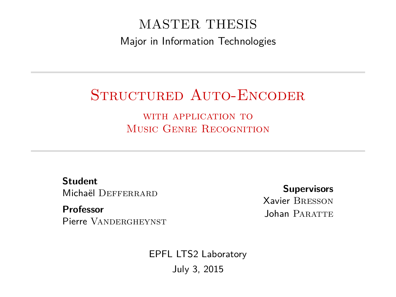#### MASTER THESIS Major in Information Technologies

#### STRUCTURED AUTO-ENCODER

WITH APPLICATION TO MUSIC GENRE RECOGNITION

**Student** Michaël DEFFERRARD

**Professor** Pierre VANDERGHEYNST

**Supervisors** Xavier Bresson Johan PARATTE

EPFL LTS2 Laboratory July 3, 2015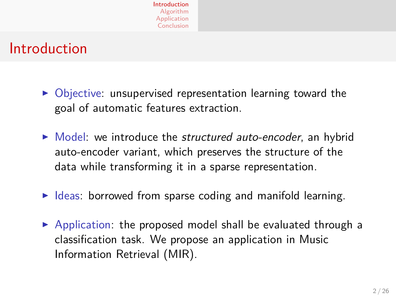#### Introduction

- $\triangleright$  Objective: unsupervised representation learning toward the goal of automatic features extraction.
- $\triangleright$  Model: we introduce the *structured auto-encoder*, an hybrid auto-encoder variant, which preserves the structure of the data while transforming it in a sparse representation.
- $\triangleright$  Ideas: borrowed from sparse coding and manifold learning.
- <span id="page-1-0"></span> $\triangleright$  Application: the proposed model shall be evaluated through a classification task. We propose an application in Music Information Retrieval (MIR).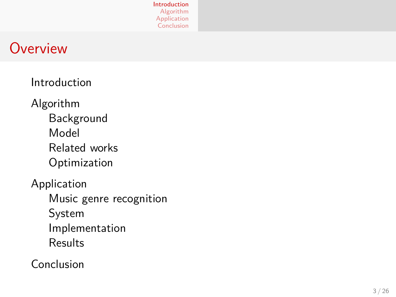

#### **Overview**

[Introduction](#page-1-0)

[Algorithm](#page-3-0) [Background](#page-3-0) [Model](#page-4-0) [Related works](#page-13-0) [Optimization](#page-14-0)

[Application](#page-17-0) [Music genre recognition](#page-17-0) [System](#page-18-0) [Implementation](#page-19-0) **[Results](#page-20-0)** 

[Conclusion](#page-24-0)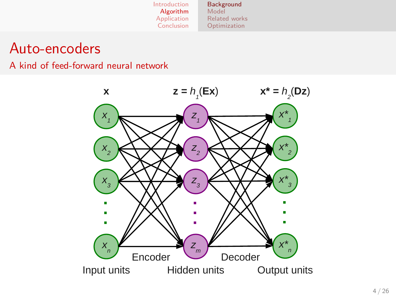#### Auto-encoders

A kind of feed-forward neural network

<span id="page-3-0"></span>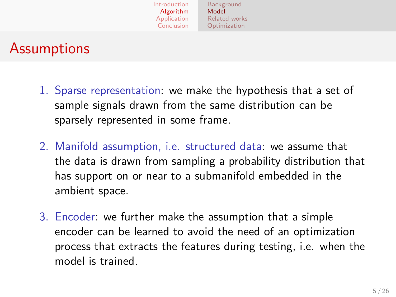## **Assumptions**

- 1. Sparse representation: we make the hypothesis that a set of sample signals drawn from the same distribution can be sparsely represented in some frame.
- 2. Manifold assumption, i.e. structured data: we assume that the data is drawn from sampling a probability distribution that has support on or near to a submanifold embedded in the ambient space.
- <span id="page-4-0"></span>3. Encoder: we further make the assumption that a simple encoder can be learned to avoid the need of an optimization process that extracts the features during testing, i.e. when the model is trained.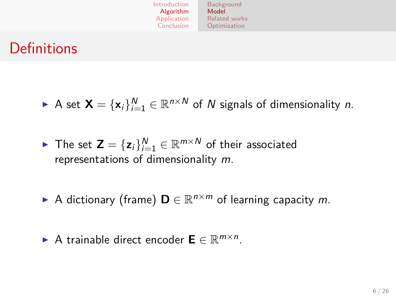| Introduction | Background    |  |  |
|--------------|---------------|--|--|
| Algorithm    | Model         |  |  |
| Application  | Related works |  |  |
| Conclusion   | Optimization  |  |  |

#### **Definitions**

► A set  $\mathbf{X} = {\mathbf{x}_i}_{i=1}^N \in \mathbb{R}^{n \times N}$  of N signals of dimensionality *n*.

- ▶ The set  $\textbf{Z} = \{\textbf{z}_i\}_{i=1}^N \in \mathbb{R}^{m \times N}$  of their associated representations of dimensionality m.
- A dictionary (frame)  $\mathbf{D} \in \mathbb{R}^{n \times m}$  of learning capacity m.
- ► A trainable direct encoder  $\mathbf{E} \in \mathbb{R}^{m \times n}$ .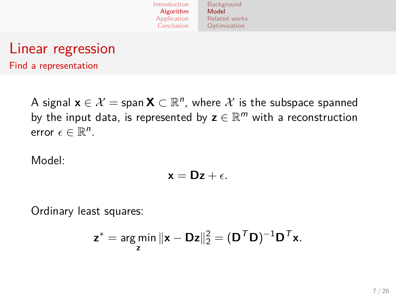

## Linear regression

Find a representation

A signal  $\mathbf{x} \in \mathcal{X} = \mathsf{span}\,\mathbf{X} \subset \mathbb{R}^n$ , where  $\mathcal{X}$  is the subspace spanned by the input data, is represented by  $\mathbf{z} \in \mathbb{R}^m$  with a reconstruction error  $\epsilon \in \mathbb{R}^n$ .

Model:

$$
\mathbf{x} = \mathbf{D} \mathbf{z} + \epsilon.
$$

Ordinary least squares:

$$
\mathbf{z}^* = \underset{\mathbf{z}}{\text{arg min}} \, \|\mathbf{x} - \mathbf{D}\mathbf{z}\|_2^2 = (\mathbf{D}^T \mathbf{D})^{-1} \mathbf{D}^T \mathbf{x}.
$$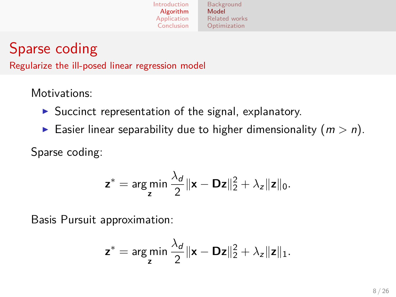

## Sparse coding

Regularize the ill-posed linear regression model

Motivations:

- $\triangleright$  Succinct representation of the signal, explanatory.
- Easier linear separability due to higher dimensionality  $(m > n)$ .

Sparse coding:

$$
\mathbf{z}^* = \arg\min_{\mathbf{z}} \frac{\lambda_d}{2} \|\mathbf{x} - \mathbf{D}\mathbf{z}\|_2^2 + \lambda_z \|\mathbf{z}\|_0.
$$

Basis Pursuit approximation:

$$
\mathbf{z}^* = \arg\min_{\mathbf{z}} \frac{\lambda_d}{2} \|\mathbf{x} - \mathbf{D}\mathbf{z}\|_2^2 + \lambda_z \|\mathbf{z}\|_1.
$$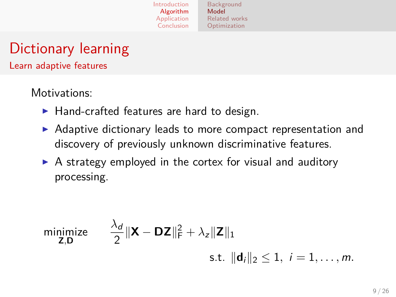[Background](#page-3-0) [Model](#page-4-0) [Related works](#page-13-0) [Optimization](#page-14-0)

## Dictionary learning

Learn adaptive features

Motivations:

- $\blacktriangleright$  Hand-crafted features are hard to design.
- $\triangleright$  Adaptive dictionary leads to more compact representation and discovery of previously unknown discriminative features.
- $\triangleright$  A strategy employed in the cortex for visual and auditory processing.

minimize  
\n
$$
\frac{\lambda_d}{2} \|\mathbf{X} - \mathbf{D}\mathbf{Z}\|_F^2 + \lambda_z \|\mathbf{Z}\|_1
$$
\n
$$
\text{s.t. } \|\mathbf{d}_i\|_2 \le 1, \ i = 1, \dots, m.
$$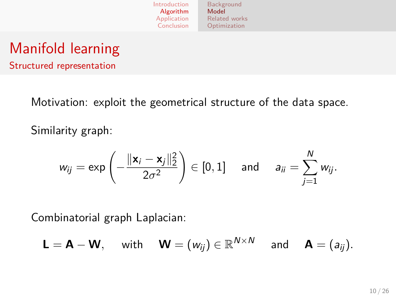## Manifold learning

Structured representation

Motivation: exploit the geometrical structure of the data space.

Similarity graph:

$$
w_{ij} = \exp\left(-\frac{\|\mathbf{x}_i - \mathbf{x}_j\|_2^2}{2\sigma^2}\right) \in [0, 1] \quad \text{and} \quad a_{ii} = \sum_{j=1}^N w_{ij}.
$$

Combinatorial graph Laplacian:

$$
\mathsf{L}=\mathsf{A}-\mathsf{W}, \quad \text{ with } \quad \mathsf{W}=(w_{ij})\in\mathbb{R}^{N\times N} \quad \text{ and } \quad \mathsf{A}=(a_{ij}).
$$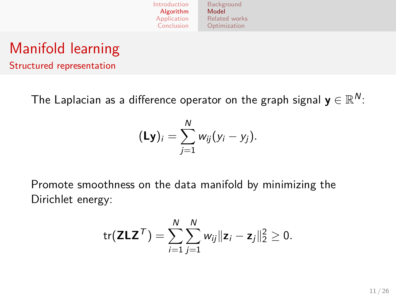## Manifold learning

Structured representation

The Laplacian as a difference operator on the graph signal  $\mathbf{y} \in \mathbb{R}^N$ :

$$
(\mathsf{Ly})_i = \sum_{j=1}^N w_{ij}(y_i - y_j).
$$

Promote smoothness on the data manifold by minimizing the Dirichlet energy:

$$
\mathrm{tr}(\mathbf{Z} \mathbf{L} \mathbf{Z}^{\mathsf{T}}) = \sum_{i=1}^N \sum_{j=1}^N w_{ij} ||\mathbf{z}_i - \mathbf{z}_j||_2^2 \geq 0.
$$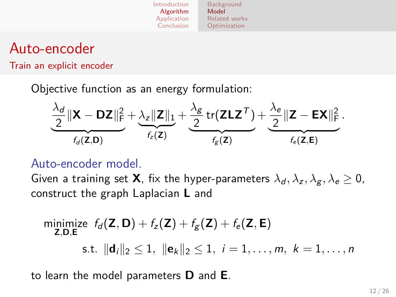#### Auto-encoder

Train an explicit encoder

Objective function as an energy formulation:

$$
\underbrace{\frac{\lambda_d}{2} \|\mathbf{X} - \mathbf{D}\mathbf{Z}\|_F^2}_{f_d(\mathbf{Z}, \mathbf{D})} + \underbrace{\frac{\lambda_z \|\mathbf{Z}\|_1}{2} + \frac{\lambda_{g}}{2} \operatorname{tr}(\mathbf{Z} \mathbf{L} \mathbf{Z}^T)}_{f_g(\mathbf{Z})} + \underbrace{\frac{\lambda_e}{2} \|\mathbf{Z} - \mathbf{E}\mathbf{X}\|_F^2}_{f_e(\mathbf{Z}, \mathbf{E})}.
$$

#### Auto-encoder model.

Given a training set **X**, fix the hyper-parameters  $\lambda_d$ ,  $\lambda_z$ ,  $\lambda_g$ ,  $\lambda_e \geq 0$ , construct the graph Laplacian **L** and

minimize 
$$
f_d(\mathbf{Z}, \mathbf{D}) + f_z(\mathbf{Z}) + f_g(\mathbf{Z}) + f_e(\mathbf{Z}, \mathbf{E})
$$
  
\nz, D, E  
\ns.t.  $||\mathbf{d}_i||_2 \le 1$ ,  $||\mathbf{e}_k||_2 \le 1$ ,  $i = 1, ..., m$ ,  $k = 1, ..., n$ 

to learn the model parameters **D** and **E**.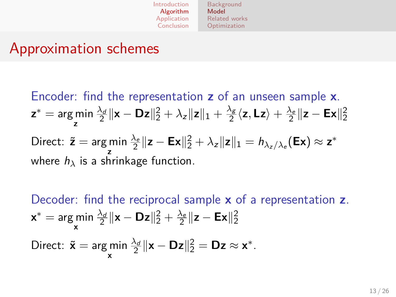#### Approximation schemes

Encoder: find the representation **z** of an unseen sample **x**. **z** <sup>∗</sup> = arg min **z**  $\frac{\lambda_d}{2} \|\mathbf{x} - \mathbf{D} \mathbf{z}\|_2^2 + \lambda_z \|\mathbf{z}\|_1 + \frac{\lambda_s}{2}$  $\frac{\lambda_g}{2}\langle \mathsf{z},\mathsf{L} \mathsf{z}\rangle + \frac{\lambda_e}{2}\|\mathsf{z}-\mathsf{E}\mathsf{x}\|_2^2$ Direct: ˜**z** = arg min **z**  $\frac{\lambda_e}{2} \|\mathbf{z} - \mathbf{E} \mathbf{x}\|_2^2 + \lambda_{\bm{z}} \|\mathbf{z}\|_1 = h_{\lambda_{\bm{z}}/\lambda_{\bm{e}}}(\mathbf{E} \mathbf{x}) \approx \mathbf{z}^*$ where  $h_{\lambda}$  is a shrinkage function.

Decoder: find the reciprocal sample **x** of a representation **z**.  $\mathbf{x}^* = \argmin_{\mathbf{y}} \frac{\lambda_d}{2} \|\mathbf{x} - \mathbf{D} \mathbf{z}\|_2^2 + \frac{\lambda_e}{2} \|\mathbf{z} - \mathbf{E} \mathbf{x}\|_2^2$ **x** Direct:  $\tilde{\mathbf{x}} = \argmin_{\mathbf{x}}$  $\frac{\lambda_d}{2} \|\mathbf{x} - \mathbf{D} \mathbf{z}\|_2^2 = \mathbf{D} \mathbf{z} \approx \mathbf{x}^*.$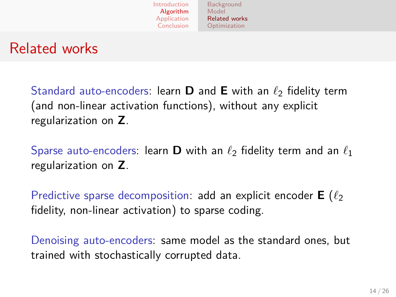

#### Related works

Standard auto-encoders: learn **D** and **E** with an  $\ell_2$  fidelity term (and non-linear activation functions), without any explicit regularization on **Z**.

Sparse auto-encoders: learn **D** with an  $\ell_2$  fidelity term and an  $\ell_1$ regularization on **Z**.

Predictive sparse decomposition: add an explicit encoder  $E(\ell_2)$ fidelity, non-linear activation) to sparse coding.

<span id="page-13-0"></span>Denoising auto-encoders: same model as the standard ones, but trained with stochastically corrupted data.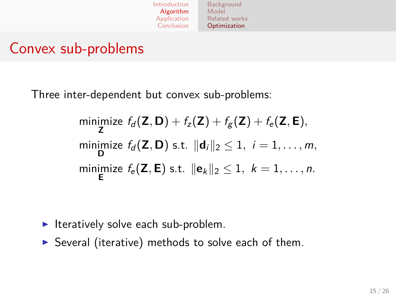#### Convex sub-problems

Three inter-dependent but convex sub-problems:

minimize 
$$
f_d(\mathbf{Z}, \mathbf{D}) + f_z(\mathbf{Z}) + f_g(\mathbf{Z}) + f_e(\mathbf{Z}, \mathbf{E}),
$$
  
\nminimize  $f_d(\mathbf{Z}, \mathbf{D})$  s.t.  $||\mathbf{d}_i||_2 \le 1$ ,  $i = 1, ..., m$ ,  
\nminimize  $f_e(\mathbf{Z}, \mathbf{E})$  s.t.  $||\mathbf{e}_k||_2 \le 1$ ,  $k = 1, ..., n$ .

- $\blacktriangleright$  Iteratively solve each sub-problem.
- <span id="page-14-0"></span> $\triangleright$  Several (iterative) methods to solve each of them.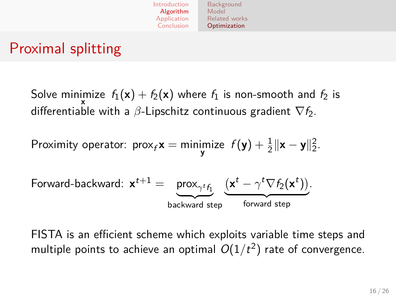

## Proximal splitting

Solve minimize  $\,f_1({\mathbf{x}}) + f_2({\mathbf{x}})$  where  $f_1$  is non-smooth and  $f_2$  is differentiable with a *β*-Lipschitz continuous gradient  $\nabla f_2$ .

Proximity operator:  $\text{prox}_f \mathbf{x} = \min_{\mathbf{y}} \text{imize } f(\mathbf{y}) + \frac{1}{2} \|\mathbf{x} - \mathbf{y}\|_2^2.$ 

$$
\text{Forward-backward: } \mathbf{x}^{t+1} = \underbrace{\text{prox}_{\gamma^t f_1}}_{\text{backward step}} (\underbrace{\mathbf{x}^t - \gamma^t \nabla f_2(\mathbf{x}^t))}_{\text{forward step}}.
$$

FISTA is an efficient scheme which exploits variable time steps and multiple points to achieve an optimal  $O(1/t^2)$  rate of convergence.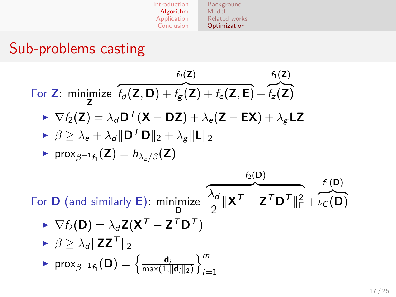| Introduction | Background<br>Model  |  |  |
|--------------|----------------------|--|--|
| Algorithm    |                      |  |  |
| Application  | <b>Related works</b> |  |  |
| Conclusion   | Optimization         |  |  |

 $\sim$   $\sim$ 

## Sub-problems casting

For Z: minimize 
$$
f_d(Z, D) + f_g(Z) + f_e(Z, E) + f_z(Z)
$$
  
\n
$$
\triangleright \nabla f_2(Z) = \lambda_d D^T(X - DZ) + \lambda_e(Z - EX) + \lambda_g LZ
$$
\n
$$
\triangleright \beta \ge \lambda_e + \lambda_d ||D^T D||_2 + \lambda_g ||L||_2
$$
\n
$$
\triangleright \text{prox}_{\beta^{-1} f_1}(Z) = h_{\lambda_z/\beta}(Z)
$$
\nFor D (and similarly E): minimize  $\frac{\lambda_d}{2} ||X^T - Z^T D^T||_F^2 + \iota_C(D)$   
\n
$$
\triangleright \nabla f_2(D) = \lambda_d Z(X^T - Z^T D^T)
$$
\n
$$
\triangleright \beta \ge \lambda_d ||ZZ^T||_2
$$
\n
$$
\triangleright \text{prox}_{\beta^{-1} f_1}(D) = \left\{ \frac{d_i}{\max(1, ||d_i||_2)} \right\}_{i=1}^m
$$

**Contract Contract Contract**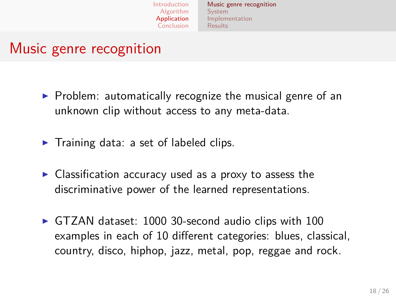[Music genre recognition](#page-17-0) [System](#page-18-0) [Implementation](#page-19-0) [Results](#page-20-0)

## Music genre recognition

- $\triangleright$  Problem: automatically recognize the musical genre of an unknown clip without access to any meta-data.
- $\blacktriangleright$  Training data: a set of labeled clips.
- $\triangleright$  Classification accuracy used as a proxy to assess the discriminative power of the learned representations.
- <span id="page-17-0"></span> $\triangleright$  GTZAN dataset: 1000 30-second audio clips with 100 examples in each of 10 different categories: blues, classical, country, disco, hiphop, jazz, metal, pop, reggae and rock.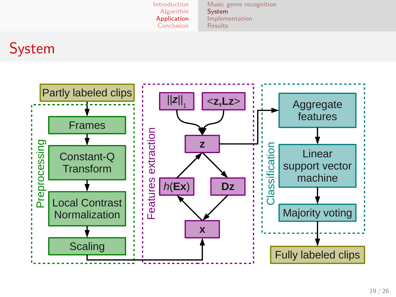<span id="page-18-0"></span>[Music genre recognition](#page-17-0) [System](#page-18-0) [Implementation](#page-19-0) [Results](#page-20-0)

## System

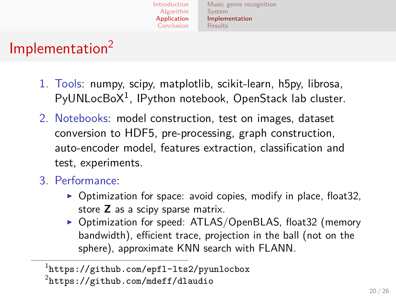[Introduction](#page-1-0) [Algorithm](#page-3-0) [Application](#page-17-0) [Conclusion](#page-24-0) [System](#page-18-0) [Results](#page-20-0)

#### [Music genre recognition](#page-17-0) [Implementation](#page-19-0)

## Implementation<sup>2</sup>

- 1. Tools: numpy, scipy, matplotlib, scikit-learn, h5py, librosa, PyUNLocBoX<sup>1</sup>, IPython notebook, OpenStack lab cluster.
- 2. Notebooks: model construction, test on images, dataset conversion to HDF5, pre-processing, graph construction, auto-encoder model, features extraction, classification and test, experiments.
- 3. Performance:
	- $\triangleright$  Optimization for space: avoid copies, modify in place, float 32, store **Z** as a scipy sparse matrix.
	- ▶ Optimization for speed: ATLAS/OpenBLAS, float32 (memory bandwidth), efficient trace, projection in the ball (not on the sphere), approximate KNN search with FLANN.

<span id="page-19-0"></span> $^{\rm 1}$ <https://github.com/epfl-lts2/pyunlocbox>  $^{2}$ <https://github.com/mdeff/dlaudio>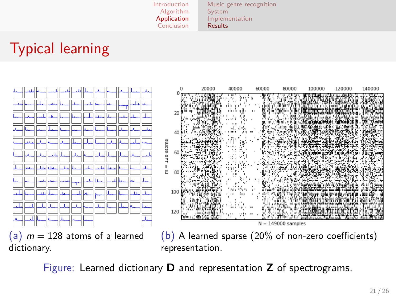[Music genre recognition](#page-17-0) [System](#page-18-0) [Implementation](#page-19-0) [Results](#page-20-0)

## Typical learning



<span id="page-20-0"></span>Figure: Learned dictionary **D** and representation **Z** of spectrograms.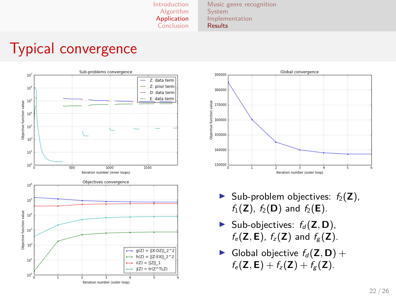[Music genre recognition](#page-17-0) [System](#page-18-0) [Implementation](#page-19-0) [Results](#page-20-0)

#### Typical convergence





- $\triangleright$  Sub-problem objectives:  $f_2(\mathbf{Z})$ ,  $f_1(Z)$ ,  $f_2(D)$  and  $f_2(E)$ .
- $\triangleright$  Sub-objectives:  $f_d(\mathbf{Z}, \mathbf{D})$ ,  $f_e(\mathbf{Z}, \mathbf{E})$ ,  $f_z(\mathbf{Z})$  and  $f_g(\mathbf{Z})$ .
- $\blacktriangleright$  Global objective  $f_d(\mathbf{Z}, \mathbf{D}) +$  $f_e(Z, E) + f_z(Z) + f_g(Z)$ .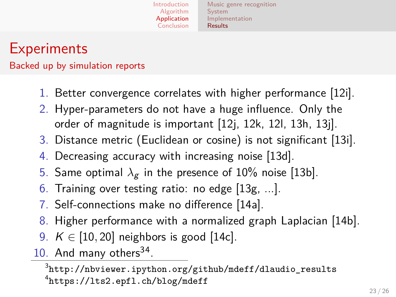[Music genre recognition](#page-17-0) [System](#page-18-0) [Implementation](#page-19-0) [Results](#page-20-0)

## **Experiments**

Backed up by simulation reports

- 1. Better convergence correlates with higher performance [\[12i\]](http://nbviewer.ipython.org/github/mdeff/dlaudio_results/blob/master/12i_convergence.ipynb).
- 2. Hyper-parameters do not have a huge influence. Only the order of magnitude is important [\[12j,](http://nbviewer.ipython.org/github/mdeff/dlaudio_results/blob/master/12j_lg.ipynb) [12k,](http://nbviewer.ipython.org/github/mdeff/dlaudio_results/blob/master/12k_ls.ipynb) [12l,](http://nbviewer.ipython.org/github/mdeff/dlaudio_results/blob/master/12l_ld.ipynb) [13h,](http://nbviewer.ipython.org/github/mdeff/dlaudio_results/blob/master/13h_lg.ipynb) [13j\]](http://nbviewer.ipython.org/github/mdeff/dlaudio_results/blob/master/13j_le.ipynb).
- 3. Distance metric (Euclidean or cosine) is not significant [\[13i\]](http://nbviewer.ipython.org/github/mdeff/dlaudio_results/blob/master/13i_dm.ipynb).
- 4. Decreasing accuracy with increasing noise [\[13d\]](http://nbviewer.ipython.org/github/mdeff/dlaudio_results/blob/master/13d_noise_level.ipynb).
- 5. Same optimal  $\lambda_g$  in the presence of 10% noise [\[13b\]](http://nbviewer.ipython.org/github/mdeff/dlaudio_results/blob/master/13b_noise_lg.ipynb).
- 6. Training over testing ratio: no edge [\[13g,](http://nbviewer.ipython.org/github/mdeff/dlaudio_results/blob/master/13g_ratio.ipynb) ...].
- 7. Self-connections make no difference [\[14a\]](http://nbviewer.ipython.org/github/mdeff/dlaudio_results/blob/master/14a_diag.ipynb).
- 8. Higher performance with a normalized graph Laplacian [\[14b\]](http://nbviewer.ipython.org/github/mdeff/dlaudio_results/blob/master/14b_laplacian.ipynb).
- 9. *K* ∈ [10, 20] neighbors is good [\[14c\]](http://nbviewer.ipython.org/github/mdeff/dlaudio_results/blob/master/14c_K.ipynb).
- 10. And many others<sup>34</sup>.

 $^3$ [http://nbviewer.ipython.org/github/mdeff/dlaudio\\_results](http://nbviewer.ipython.org/github/mdeff/dlaudio_results) 4 <https://lts2.epfl.ch/blog/mdeff>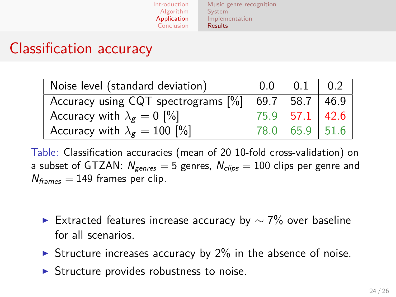[Music genre recognition](#page-17-0) [System](#page-18-0) [Implementation](#page-19-0) [Results](#page-20-0)

#### Classification accuracy

| Noise level (standard deviation)                                    |                | 0.1            | $\binom{0.2}{0.2}$ |
|---------------------------------------------------------------------|----------------|----------------|--------------------|
| Accuracy using CQT spectrograms $\binom{9}{6}$   69.7   58.7   46.9 |                |                |                    |
| Accuracy with $\lambda_g = 0$ [%]                                   | 75.9 57.1 42.6 |                |                    |
| Accuracy with $\lambda_g = 100$ [%]                                 |                | 78.0 65.9 51.6 |                    |

Table: Classification accuracies (mean of 20 10-fold cross-validation) on a subset of GTZAN:  $N_{gences} = 5$  genres,  $N_{clips} = 100$  clips per genre and  $N_{frames} = 149$  frames per clip.

- ► Extracted features increase accuracy by  $\sim$  7% over baseline for all scenarios.
- Structure increases accuracy by  $2\%$  in the absence of noise.
- $\triangleright$  Structure provides robustness to noise.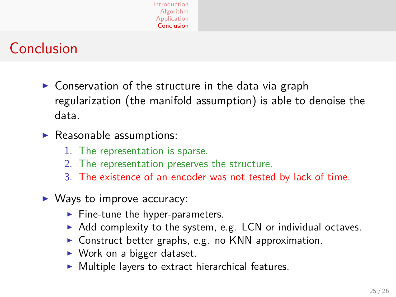## Conclusion

- $\triangleright$  Conservation of the structure in the data via graph regularization (the manifold assumption) is able to denoise the data.
- $\blacktriangleright$  Reasonable assumptions:
	- 1. The representation is sparse.
	- 2. The representation preserves the structure.
	- 3. The existence of an encoder was not tested by lack of time.
- <span id="page-24-0"></span> $\triangleright$  Ways to improve accuracy:
	- $\blacktriangleright$  Fine-tune the hyper-parameters.
	- $\triangleright$  Add complexity to the system, e.g. LCN or individual octaves.
	- $\triangleright$  Construct better graphs, e.g. no KNN approximation.
	- $\triangleright$  Work on a bigger dataset.
	- $\triangleright$  Multiple layers to extract hierarchical features.